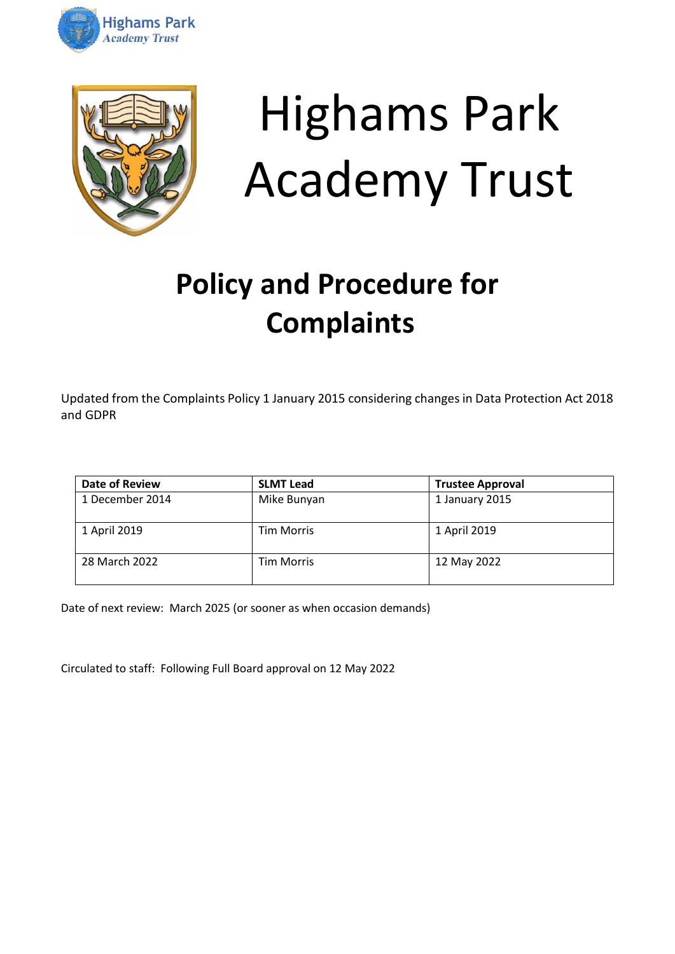



# Highams Park Academy Trust

# **Policy and Procedure for Complaints**

Updated from the Complaints Policy 1 January 2015 considering changes in Data Protection Act 2018 and GDPR

| Date of Review  | <b>SLMT Lead</b>  | <b>Trustee Approval</b> |
|-----------------|-------------------|-------------------------|
| 1 December 2014 | Mike Bunyan       | 1 January 2015          |
| 1 April 2019    | <b>Tim Morris</b> | 1 April 2019            |
| 28 March 2022   | <b>Tim Morris</b> | 12 May 2022             |

Date of next review: March 2025 (or sooner as when occasion demands)

Circulated to staff: Following Full Board approval on 12 May 2022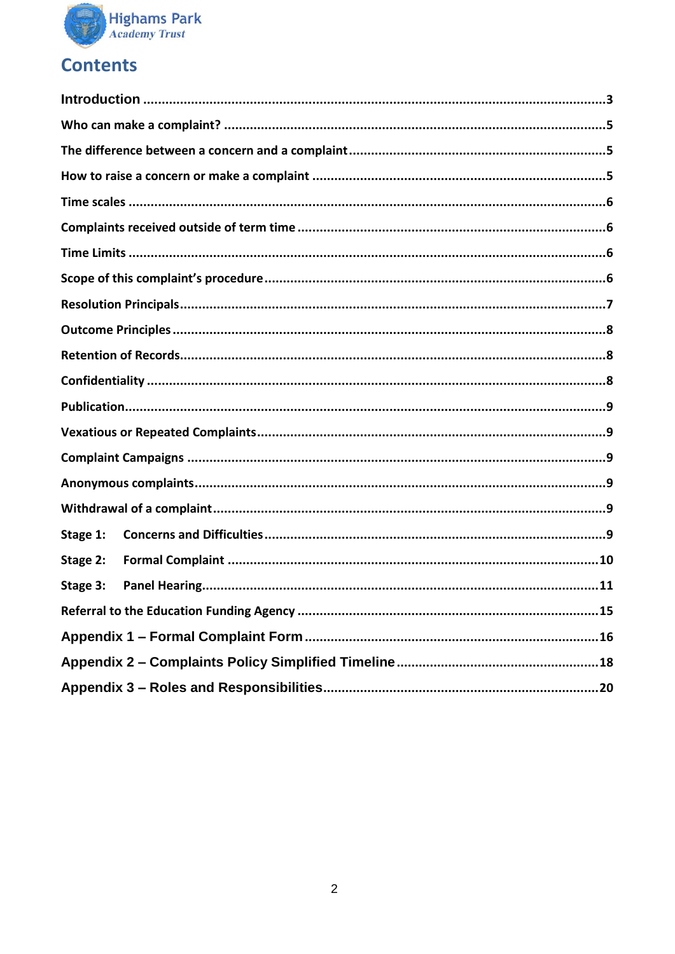

# **Contents**

| Stage 1: |  |  |
|----------|--|--|
| Stage 2: |  |  |
| Stage 3: |  |  |
|          |  |  |
|          |  |  |
|          |  |  |
|          |  |  |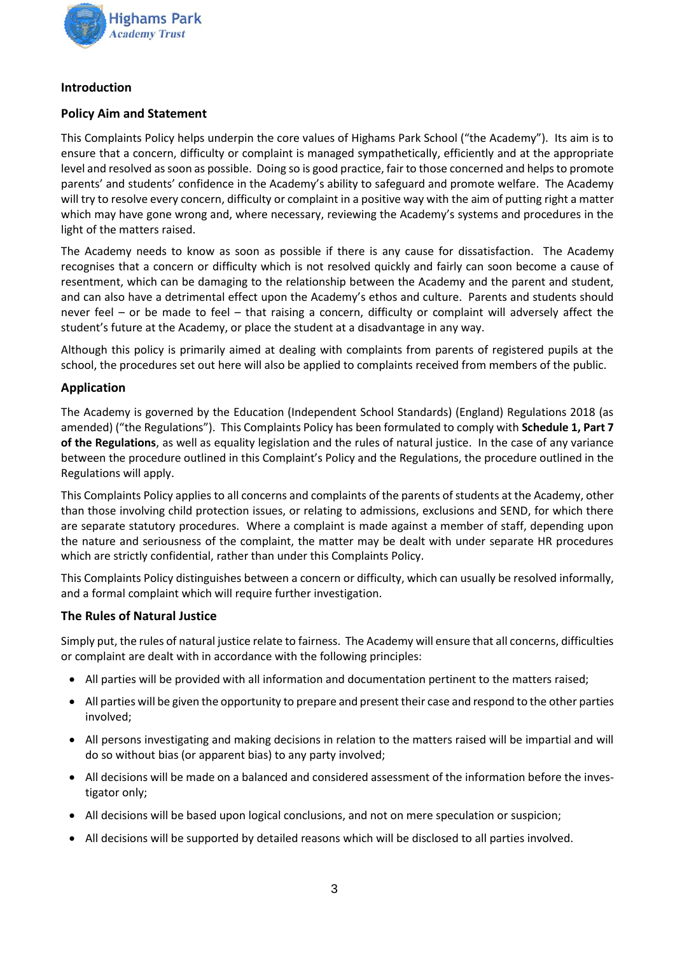

# <span id="page-2-0"></span>**Introduction**

# **Policy Aim and Statement**

This Complaints Policy helps underpin the core values of Highams Park School ("the Academy"). Its aim is to ensure that a concern, difficulty or complaint is managed sympathetically, efficiently and at the appropriate level and resolved as soon as possible. Doing so is good practice, fair to those concerned and helps to promote parents' and students' confidence in the Academy's ability to safeguard and promote welfare. The Academy will try to resolve every concern, difficulty or complaint in a positive way with the aim of putting right a matter which may have gone wrong and, where necessary, reviewing the Academy's systems and procedures in the light of the matters raised.

The Academy needs to know as soon as possible if there is any cause for dissatisfaction. The Academy recognises that a concern or difficulty which is not resolved quickly and fairly can soon become a cause of resentment, which can be damaging to the relationship between the Academy and the parent and student, and can also have a detrimental effect upon the Academy's ethos and culture. Parents and students should never feel – or be made to feel – that raising a concern, difficulty or complaint will adversely affect the student's future at the Academy, or place the student at a disadvantage in any way.

Although this policy is primarily aimed at dealing with complaints from parents of registered pupils at the school, the procedures set out here will also be applied to complaints received from members of the public.

# **Application**

The Academy is governed by the Education (Independent School Standards) (England) Regulations 2018 (as amended) ("the Regulations"). This Complaints Policy has been formulated to comply with **Schedule 1, Part 7 of the Regulations**, as well as equality legislation and the rules of natural justice. In the case of any variance between the procedure outlined in this Complaint's Policy and the Regulations, the procedure outlined in the Regulations will apply.

This Complaints Policy applies to all concerns and complaints of the parents of students at the Academy, other than those involving child protection issues, or relating to admissions, exclusions and SEND, for which there are separate statutory procedures. Where a complaint is made against a member of staff, depending upon the nature and seriousness of the complaint, the matter may be dealt with under separate HR procedures which are strictly confidential, rather than under this Complaints Policy.

This Complaints Policy distinguishes between a concern or difficulty, which can usually be resolved informally, and a formal complaint which will require further investigation.

# **The Rules of Natural Justice**

Simply put, the rules of natural justice relate to fairness. The Academy will ensure that all concerns, difficulties or complaint are dealt with in accordance with the following principles:

- All parties will be provided with all information and documentation pertinent to the matters raised;
- All parties will be given the opportunity to prepare and present their case and respond to the other parties involved;
- All persons investigating and making decisions in relation to the matters raised will be impartial and will do so without bias (or apparent bias) to any party involved;
- All decisions will be made on a balanced and considered assessment of the information before the investigator only;
- All decisions will be based upon logical conclusions, and not on mere speculation or suspicion;
- All decisions will be supported by detailed reasons which will be disclosed to all parties involved.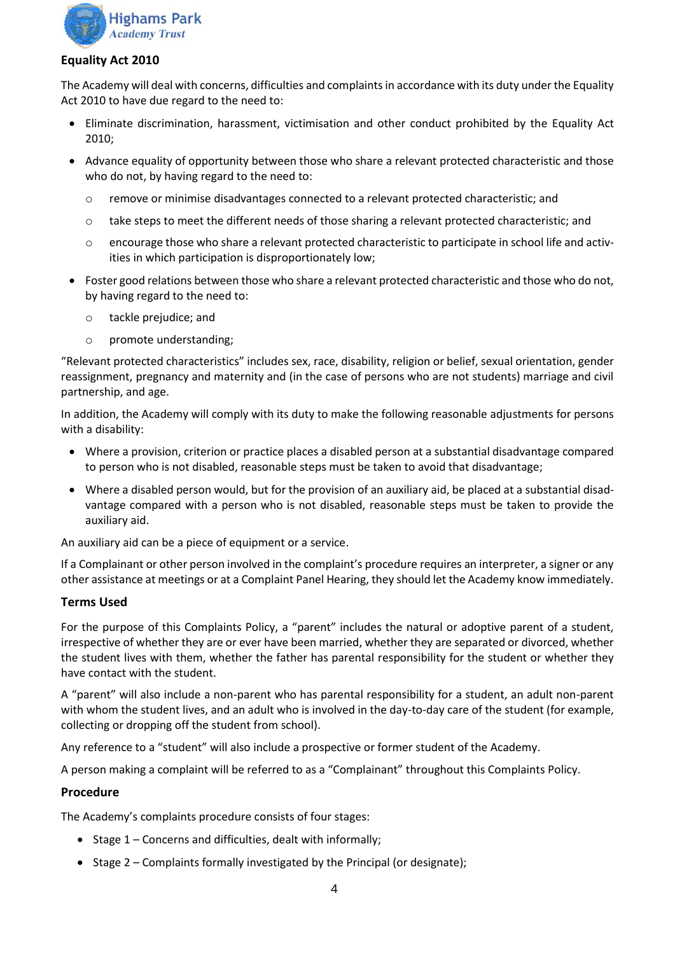

#### **Equality Act 2010**

The Academy will deal with concerns, difficulties and complaints in accordance with its duty under the Equality Act 2010 to have due regard to the need to:

- Eliminate discrimination, harassment, victimisation and other conduct prohibited by the Equality Act 2010;
- Advance equality of opportunity between those who share a relevant protected characteristic and those who do not, by having regard to the need to:
	- o remove or minimise disadvantages connected to a relevant protected characteristic; and
	- o take steps to meet the different needs of those sharing a relevant protected characteristic; and
	- $\circ$  encourage those who share a relevant protected characteristic to participate in school life and activities in which participation is disproportionately low;
- Foster good relations between those who share a relevant protected characteristic and those who do not, by having regard to the need to:
	- o tackle prejudice; and
	- o promote understanding;

"Relevant protected characteristics" includes sex, race, disability, religion or belief, sexual orientation, gender reassignment, pregnancy and maternity and (in the case of persons who are not students) marriage and civil partnership, and age.

In addition, the Academy will comply with its duty to make the following reasonable adjustments for persons with a disability:

- Where a provision, criterion or practice places a disabled person at a substantial disadvantage compared to person who is not disabled, reasonable steps must be taken to avoid that disadvantage;
- Where a disabled person would, but for the provision of an auxiliary aid, be placed at a substantial disadvantage compared with a person who is not disabled, reasonable steps must be taken to provide the auxiliary aid.

An auxiliary aid can be a piece of equipment or a service.

If a Complainant or other person involved in the complaint's procedure requires an interpreter, a signer or any other assistance at meetings or at a Complaint Panel Hearing, they should let the Academy know immediately.

#### **Terms Used**

For the purpose of this Complaints Policy, a "parent" includes the natural or adoptive parent of a student, irrespective of whether they are or ever have been married, whether they are separated or divorced, whether the student lives with them, whether the father has parental responsibility for the student or whether they have contact with the student.

A "parent" will also include a non-parent who has parental responsibility for a student, an adult non-parent with whom the student lives, and an adult who is involved in the day-to-day care of the student (for example, collecting or dropping off the student from school).

Any reference to a "student" will also include a prospective or former student of the Academy.

A person making a complaint will be referred to as a "Complainant" throughout this Complaints Policy.

# **Procedure**

The Academy's complaints procedure consists of four stages:

- Stage 1 Concerns and difficulties, dealt with informally;
- Stage 2 Complaints formally investigated by the Principal (or designate);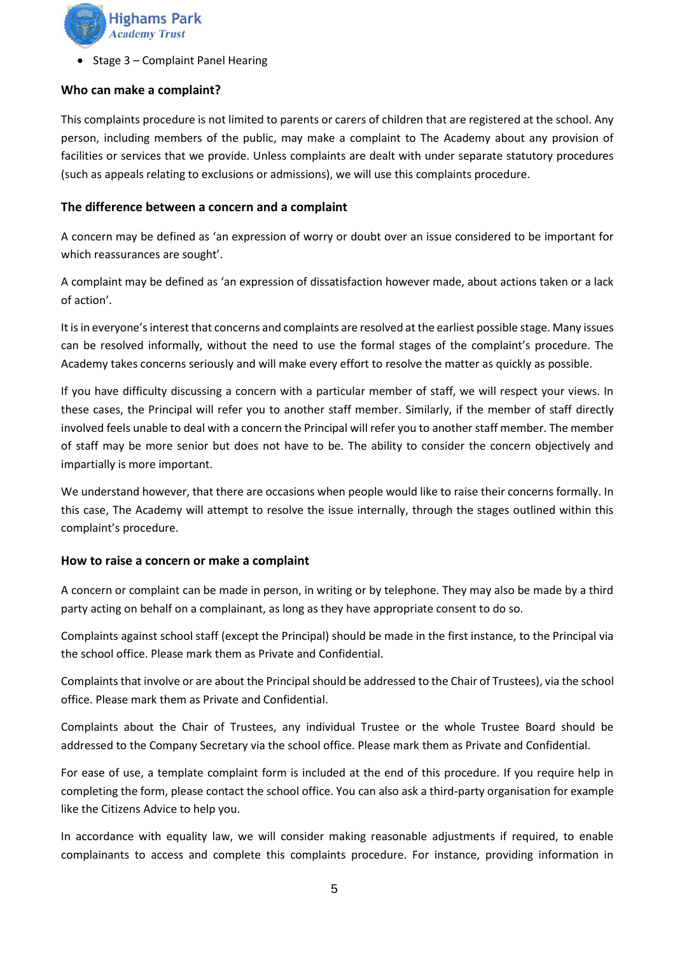

• Stage 3 – Complaint Panel Hearing

#### <span id="page-4-0"></span>**Who can make a complaint?**

This complaints procedure is not limited to parents or carers of children that are registered at the school. Any person, including members of the public, may make a complaint to The Academy about any provision of facilities or services that we provide. Unless complaints are dealt with under separate statutory procedures (such as appeals relating to exclusions or admissions), we will use this complaints procedure.

#### <span id="page-4-1"></span>**The difference between a concern and a complaint**

A concern may be defined as 'an expression of worry or doubt over an issue considered to be important for which reassurances are sought'.

A complaint may be defined as 'an expression of dissatisfaction however made, about actions taken or a lack of action'.

It is in everyone's interest that concerns and complaints are resolved at the earliest possible stage. Many issues can be resolved informally, without the need to use the formal stages of the complaint's procedure. The Academy takes concerns seriously and will make every effort to resolve the matter as quickly as possible.

If you have difficulty discussing a concern with a particular member of staff, we will respect your views. In these cases, the Principal will refer you to another staff member. Similarly, if the member of staff directly involved feels unable to deal with a concern the Principal will refer you to another staff member. The member of staff may be more senior but does not have to be. The ability to consider the concern objectively and impartially is more important.

We understand however, that there are occasions when people would like to raise their concerns formally. In this case, The Academy will attempt to resolve the issue internally, through the stages outlined within this complaint's procedure.

#### <span id="page-4-2"></span>**How to raise a concern or make a complaint**

A concern or complaint can be made in person, in writing or by telephone. They may also be made by a third party acting on behalf on a complainant, as long as they have appropriate consent to do so.

Complaints against school staff (except the Principal) should be made in the first instance, to the Principal via the school office. Please mark them as Private and Confidential.

Complaints that involve or are about the Principal should be addressed to the Chair of Trustees), via the school office. Please mark them as Private and Confidential.

Complaints about the Chair of Trustees, any individual Trustee or the whole Trustee Board should be addressed to the Company Secretary via the school office. Please mark them as Private and Confidential.

For ease of use, a template complaint form is included at the end of this procedure. If you require help in completing the form, please contact the school office. You can also ask a third-party organisation for example like the Citizens Advice to help you.

In accordance with equality law, we will consider making reasonable adjustments if required, to enable complainants to access and complete this complaints procedure. For instance, providing information in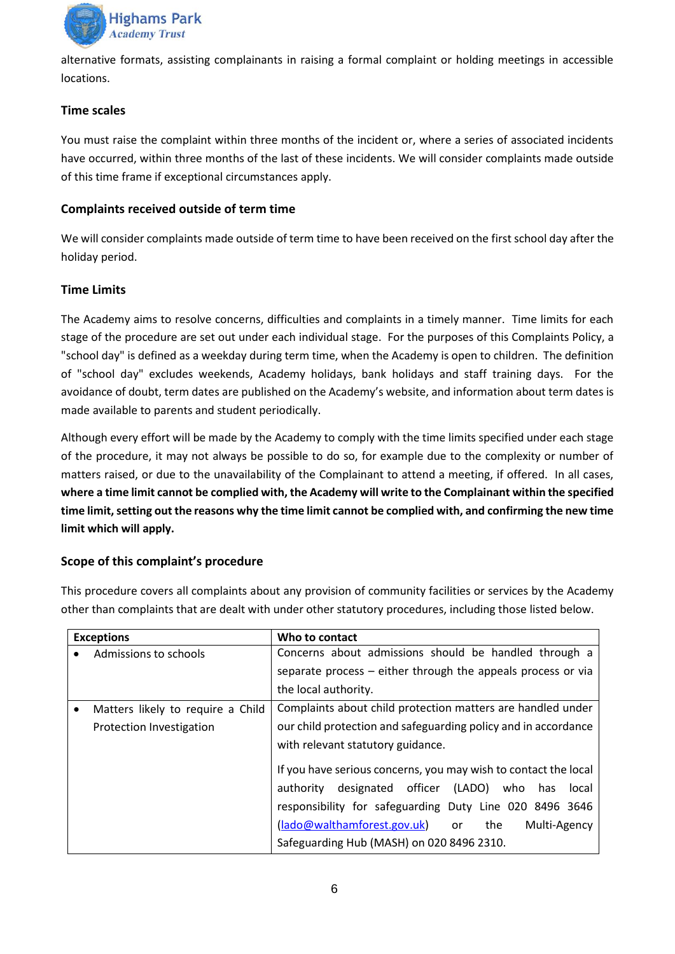

alternative formats, assisting complainants in raising a formal complaint or holding meetings in accessible locations.

# <span id="page-5-0"></span>**Time scales**

You must raise the complaint within three months of the incident or, where a series of associated incidents have occurred, within three months of the last of these incidents. We will consider complaints made outside of this time frame if exceptional circumstances apply.

# <span id="page-5-1"></span>**Complaints received outside of term time**

We will consider complaints made outside of term time to have been received on the first school day after the holiday period.

# <span id="page-5-2"></span>**Time Limits**

The Academy aims to resolve concerns, difficulties and complaints in a timely manner. Time limits for each stage of the procedure are set out under each individual stage. For the purposes of this Complaints Policy, a "school day" is defined as a weekday during term time, when the Academy is open to children. The definition of "school day" excludes weekends, Academy holidays, bank holidays and staff training days. For the avoidance of doubt, term dates are published on the Academy's website, and information about term dates is made available to parents and student periodically.

Although every effort will be made by the Academy to comply with the time limits specified under each stage of the procedure, it may not always be possible to do so, for example due to the complexity or number of matters raised, or due to the unavailability of the Complainant to attend a meeting, if offered. In all cases, **where a time limit cannot be complied with, the Academy will write to the Complainant within the specified time limit, setting out the reasons why the time limit cannot be complied with, and confirming the new time limit which will apply.**

# <span id="page-5-3"></span>**Scope of this complaint's procedure**

This procedure covers all complaints about any provision of community facilities or services by the Academy other than complaints that are dealt with under other statutory procedures, including those listed below.

| <b>Exceptions</b>                              | Who to contact                                                  |
|------------------------------------------------|-----------------------------------------------------------------|
| Admissions to schools                          | Concerns about admissions should be handled through a           |
|                                                | separate process – either through the appeals process or via    |
|                                                | the local authority.                                            |
| Matters likely to require a Child<br>$\bullet$ | Complaints about child protection matters are handled under     |
| Protection Investigation                       | our child protection and safeguarding policy and in accordance  |
|                                                | with relevant statutory guidance.                               |
|                                                | If you have serious concerns, you may wish to contact the local |
|                                                | designated officer (LADO) who<br>authority<br>has<br>local      |
|                                                | responsibility for safeguarding Duty Line 020 8496 3646         |
|                                                | (lado@walthamforest.gov.uk) or<br>Multi-Agency<br>the           |
|                                                | Safeguarding Hub (MASH) on 020 8496 2310.                       |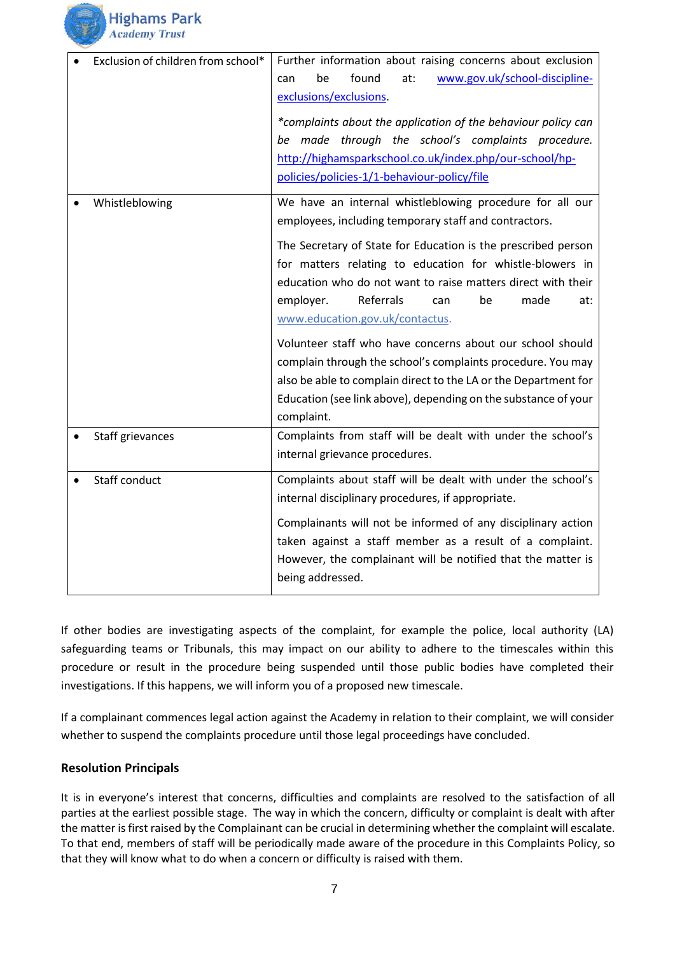

| Exclusion of children from school* | Further information about raising concerns about exclusion<br>found<br>www.gov.uk/school-discipline-<br>be<br>at:<br>can<br>exclusions/exclusions.<br>*complaints about the application of the behaviour policy can<br>be made through the school's complaints procedure.<br>http://highamsparkschool.co.uk/index.php/our-school/hp-<br>policies/policies-1/1-behaviour-policy/file                                                                                                                                                                                                                                                                                                    |
|------------------------------------|----------------------------------------------------------------------------------------------------------------------------------------------------------------------------------------------------------------------------------------------------------------------------------------------------------------------------------------------------------------------------------------------------------------------------------------------------------------------------------------------------------------------------------------------------------------------------------------------------------------------------------------------------------------------------------------|
| Whistleblowing                     | We have an internal whistleblowing procedure for all our<br>employees, including temporary staff and contractors.<br>The Secretary of State for Education is the prescribed person<br>for matters relating to education for whistle-blowers in<br>education who do not want to raise matters direct with their<br>Referrals<br>employer.<br>made<br>be<br>at:<br>can<br>www.education.gov.uk/contactus.<br>Volunteer staff who have concerns about our school should<br>complain through the school's complaints procedure. You may<br>also be able to complain direct to the LA or the Department for<br>Education (see link above), depending on the substance of your<br>complaint. |
| Staff grievances                   | Complaints from staff will be dealt with under the school's<br>internal grievance procedures.                                                                                                                                                                                                                                                                                                                                                                                                                                                                                                                                                                                          |
| Staff conduct                      | Complaints about staff will be dealt with under the school's<br>internal disciplinary procedures, if appropriate.<br>Complainants will not be informed of any disciplinary action<br>taken against a staff member as a result of a complaint.<br>However, the complainant will be notified that the matter is<br>being addressed.                                                                                                                                                                                                                                                                                                                                                      |

If other bodies are investigating aspects of the complaint, for example the police, local authority (LA) safeguarding teams or Tribunals, this may impact on our ability to adhere to the timescales within this procedure or result in the procedure being suspended until those public bodies have completed their investigations. If this happens, we will inform you of a proposed new timescale.

If a complainant commences legal action against the Academy in relation to their complaint, we will consider whether to suspend the complaints procedure until those legal proceedings have concluded.

# <span id="page-6-0"></span>**Resolution Principals**

It is in everyone's interest that concerns, difficulties and complaints are resolved to the satisfaction of all parties at the earliest possible stage. The way in which the concern, difficulty or complaint is dealt with after the matter is first raised by the Complainant can be crucial in determining whether the complaint will escalate. To that end, members of staff will be periodically made aware of the procedure in this Complaints Policy, so that they will know what to do when a concern or difficulty is raised with them.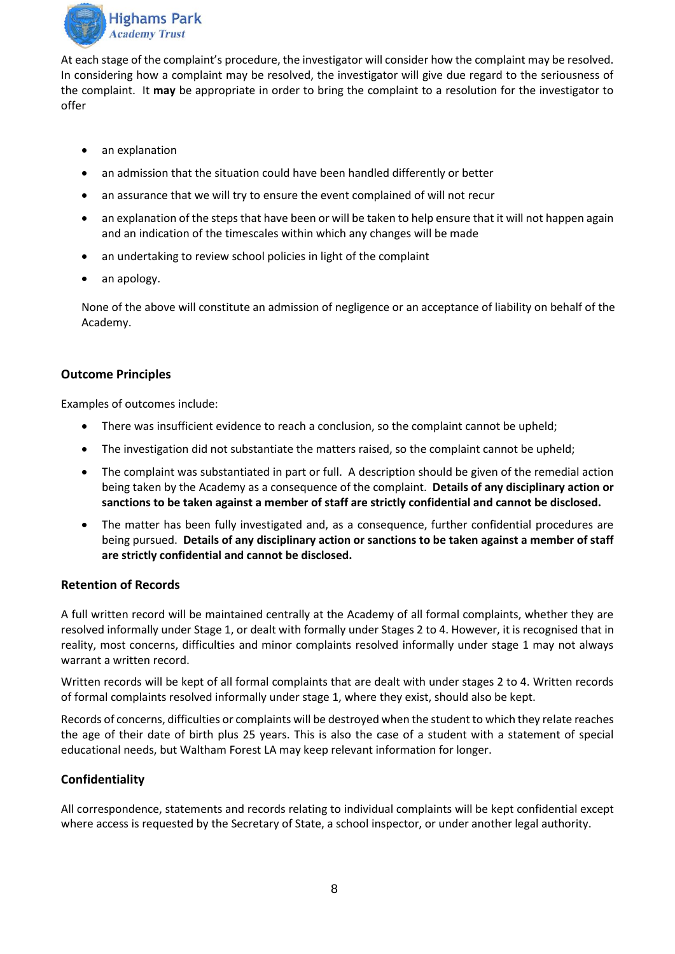

At each stage of the complaint's procedure, the investigator will consider how the complaint may be resolved. In considering how a complaint may be resolved, the investigator will give due regard to the seriousness of the complaint. It **may** be appropriate in order to bring the complaint to a resolution for the investigator to offer

- an explanation
- an admission that the situation could have been handled differently or better
- an assurance that we will try to ensure the event complained of will not recur
- an explanation of the steps that have been or will be taken to help ensure that it will not happen again and an indication of the timescales within which any changes will be made
- an undertaking to review school policies in light of the complaint
- an apology.

None of the above will constitute an admission of negligence or an acceptance of liability on behalf of the Academy.

#### <span id="page-7-0"></span>**Outcome Principles**

Examples of outcomes include:

- There was insufficient evidence to reach a conclusion, so the complaint cannot be upheld;
- The investigation did not substantiate the matters raised, so the complaint cannot be upheld;
- The complaint was substantiated in part or full. A description should be given of the remedial action being taken by the Academy as a consequence of the complaint. **Details of any disciplinary action or sanctions to be taken against a member of staff are strictly confidential and cannot be disclosed.**
- The matter has been fully investigated and, as a consequence, further confidential procedures are being pursued. **Details of any disciplinary action or sanctions to be taken against a member of staff are strictly confidential and cannot be disclosed.**

#### <span id="page-7-1"></span>**Retention of Records**

A full written record will be maintained centrally at the Academy of all formal complaints, whether they are resolved informally under Stage 1, or dealt with formally under Stages 2 to 4. However, it is recognised that in reality, most concerns, difficulties and minor complaints resolved informally under stage 1 may not always warrant a written record.

Written records will be kept of all formal complaints that are dealt with under stages 2 to 4. Written records of formal complaints resolved informally under stage 1, where they exist, should also be kept.

Records of concerns, difficulties or complaints will be destroyed when the student to which they relate reaches the age of their date of birth plus 25 years. This is also the case of a student with a statement of special educational needs, but Waltham Forest LA may keep relevant information for longer.

# <span id="page-7-2"></span>**Confidentiality**

All correspondence, statements and records relating to individual complaints will be kept confidential except where access is requested by the Secretary of State, a school inspector, or under another legal authority.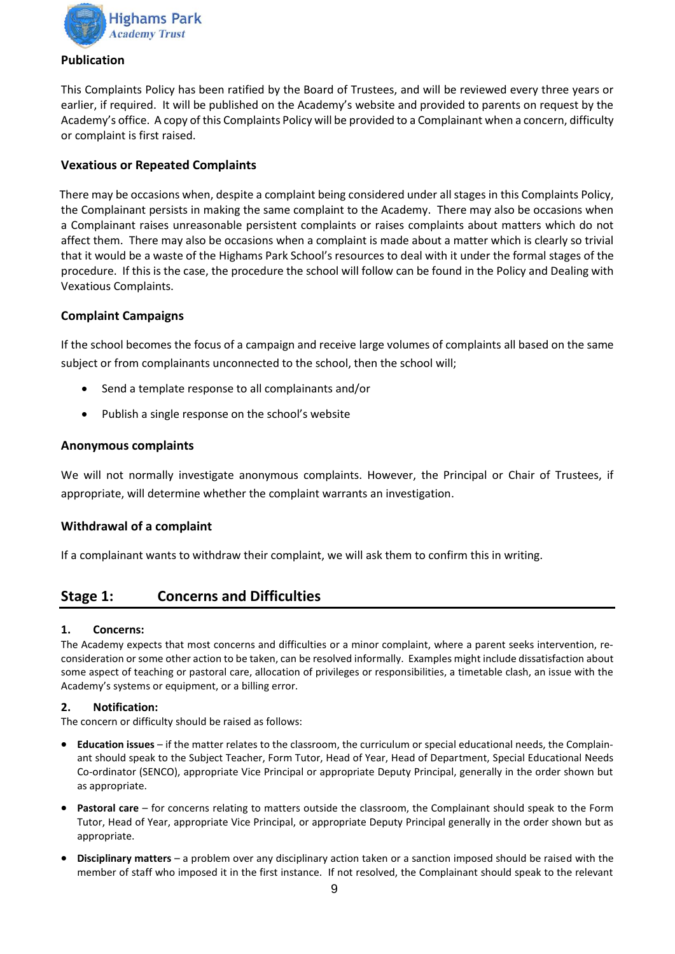

#### <span id="page-8-0"></span>**Publication**

This Complaints Policy has been ratified by the Board of Trustees, and will be reviewed every three years or earlier, if required. It will be published on the Academy's website and provided to parents on request by the Academy's office. A copy of this Complaints Policy will be provided to a Complainant when a concern, difficulty or complaint is first raised.

# <span id="page-8-1"></span>**Vexatious or Repeated Complaints**

There may be occasions when, despite a complaint being considered under all stages in this Complaints Policy, the Complainant persists in making the same complaint to the Academy. There may also be occasions when a Complainant raises unreasonable persistent complaints or raises complaints about matters which do not affect them. There may also be occasions when a complaint is made about a matter which is clearly so trivial that it would be a waste of the Highams Park School's resources to deal with it under the formal stages of the procedure. If this is the case, the procedure the school will follow can be found in the Policy and Dealing with Vexatious Complaints.

# <span id="page-8-2"></span>**Complaint Campaigns**

If the school becomes the focus of a campaign and receive large volumes of complaints all based on the same subject or from complainants unconnected to the school, then the school will;

- Send a template response to all complainants and/or
- Publish a single response on the school's website

# <span id="page-8-3"></span>**Anonymous complaints**

We will not normally investigate anonymous complaints. However, the Principal or Chair of Trustees, if appropriate, will determine whether the complaint warrants an investigation.

# <span id="page-8-4"></span>**Withdrawal of a complaint**

If a complainant wants to withdraw their complaint, we will ask them to confirm this in writing.

# <span id="page-8-5"></span>**Stage 1: Concerns and Difficulties**

#### **1. Concerns:**

The Academy expects that most concerns and difficulties or a minor complaint, where a parent seeks intervention, reconsideration or some other action to be taken, can be resolved informally. Examples might include dissatisfaction about some aspect of teaching or pastoral care, allocation of privileges or responsibilities, a timetable clash, an issue with the Academy's systems or equipment, or a billing error.

#### **2. Notification:**

The concern or difficulty should be raised as follows:

- **Education issues**  if the matter relates to the classroom, the curriculum or special educational needs, the Complainant should speak to the Subject Teacher, Form Tutor, Head of Year, Head of Department, Special Educational Needs Co-ordinator (SENCO), appropriate Vice Principal or appropriate Deputy Principal, generally in the order shown but as appropriate.
- **Pastoral care**  for concerns relating to matters outside the classroom, the Complainant should speak to the Form Tutor, Head of Year, appropriate Vice Principal, or appropriate Deputy Principal generally in the order shown but as appropriate.
- **Disciplinary matters**  a problem over any disciplinary action taken or a sanction imposed should be raised with the member of staff who imposed it in the first instance. If not resolved, the Complainant should speak to the relevant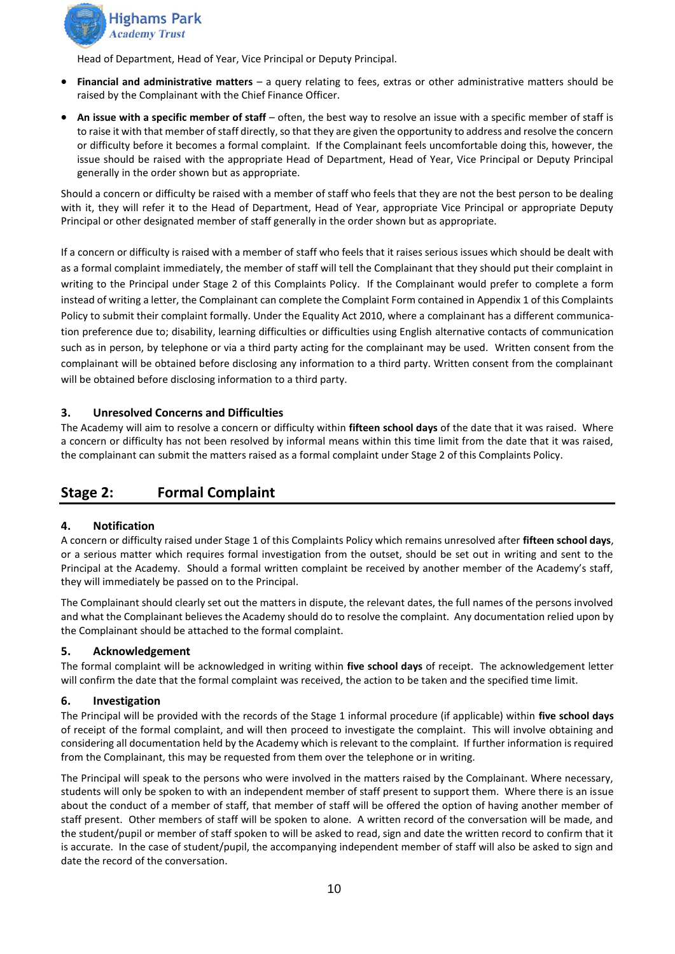

Head of Department, Head of Year, Vice Principal or Deputy Principal.

- **Financial and administrative matters**  a query relating to fees, extras or other administrative matters should be raised by the Complainant with the Chief Finance Officer.
- **An issue with a specific member of staff** often, the best way to resolve an issue with a specific member of staff is to raise it with that member of staff directly, so that they are given the opportunity to address and resolve the concern or difficulty before it becomes a formal complaint. If the Complainant feels uncomfortable doing this, however, the issue should be raised with the appropriate Head of Department, Head of Year, Vice Principal or Deputy Principal generally in the order shown but as appropriate.

Should a concern or difficulty be raised with a member of staff who feels that they are not the best person to be dealing with it, they will refer it to the Head of Department, Head of Year, appropriate Vice Principal or appropriate Deputy Principal or other designated member of staff generally in the order shown but as appropriate.

If a concern or difficulty is raised with a member of staff who feels that it raises serious issues which should be dealt with as a formal complaint immediately, the member of staff will tell the Complainant that they should put their complaint in writing to the Principal under Stage 2 of this Complaints Policy. If the Complainant would prefer to complete a form instead of writing a letter, the Complainant can complete the Complaint Form contained in Appendix 1 of this Complaints Policy to submit their complaint formally. Under the Equality Act 2010, where a complainant has a different communication preference due to; disability, learning difficulties or difficulties using English alternative contacts of communication such as in person, by telephone or via a third party acting for the complainant may be used. Written consent from the complainant will be obtained before disclosing any information to a third party. Written consent from the complainant will be obtained before disclosing information to a third party.

#### **3. Unresolved Concerns and Difficulties**

The Academy will aim to resolve a concern or difficulty within **fifteen school days** of the date that it was raised. Where a concern or difficulty has not been resolved by informal means within this time limit from the date that it was raised, the complainant can submit the matters raised as a formal complaint under Stage 2 of this Complaints Policy.

# <span id="page-9-0"></span>**Stage 2: Formal Complaint**

#### **4. Notification**

A concern or difficulty raised under Stage 1 of this Complaints Policy which remains unresolved after **fifteen school days**, or a serious matter which requires formal investigation from the outset, should be set out in writing and sent to the Principal at the Academy. Should a formal written complaint be received by another member of the Academy's staff, they will immediately be passed on to the Principal.

The Complainant should clearly set out the matters in dispute, the relevant dates, the full names of the persons involved and what the Complainant believes the Academy should do to resolve the complaint. Any documentation relied upon by the Complainant should be attached to the formal complaint.

#### **5. Acknowledgement**

The formal complaint will be acknowledged in writing within **five school days** of receipt. The acknowledgement letter will confirm the date that the formal complaint was received, the action to be taken and the specified time limit.

#### **6. Investigation**

The Principal will be provided with the records of the Stage 1 informal procedure (if applicable) within **five school days**  of receipt of the formal complaint, and will then proceed to investigate the complaint. This will involve obtaining and considering all documentation held by the Academy which is relevant to the complaint. If further information is required from the Complainant, this may be requested from them over the telephone or in writing.

The Principal will speak to the persons who were involved in the matters raised by the Complainant. Where necessary, students will only be spoken to with an independent member of staff present to support them. Where there is an issue about the conduct of a member of staff, that member of staff will be offered the option of having another member of staff present. Other members of staff will be spoken to alone. A written record of the conversation will be made, and the student/pupil or member of staff spoken to will be asked to read, sign and date the written record to confirm that it is accurate. In the case of student/pupil, the accompanying independent member of staff will also be asked to sign and date the record of the conversation.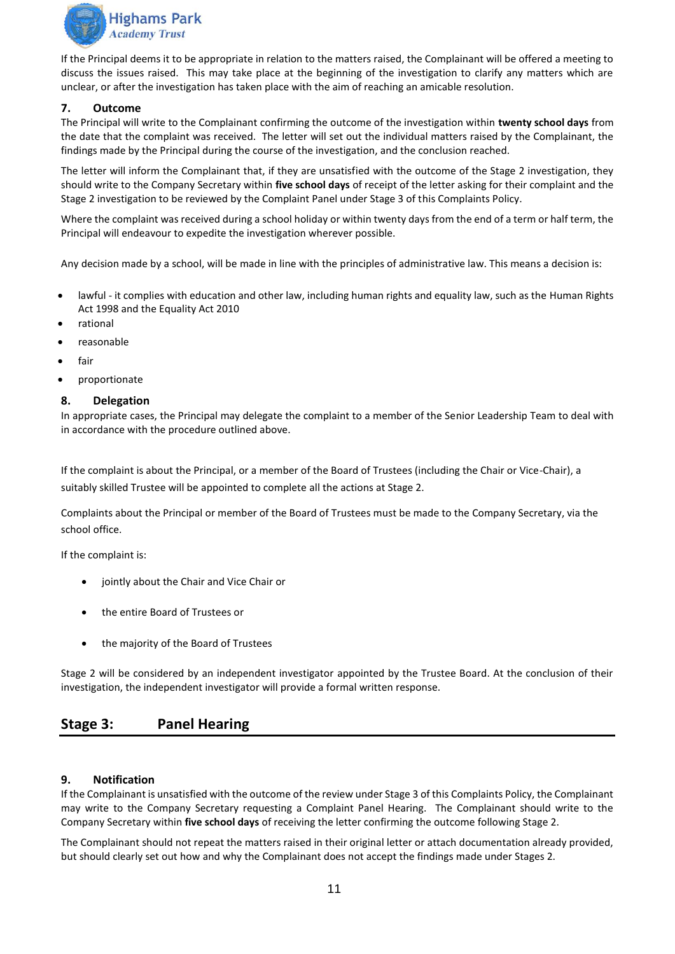

If the Principal deems it to be appropriate in relation to the matters raised, the Complainant will be offered a meeting to discuss the issues raised. This may take place at the beginning of the investigation to clarify any matters which are unclear, or after the investigation has taken place with the aim of reaching an amicable resolution.

#### **7. Outcome**

The Principal will write to the Complainant confirming the outcome of the investigation within **twenty school days** from the date that the complaint was received. The letter will set out the individual matters raised by the Complainant, the findings made by the Principal during the course of the investigation, and the conclusion reached.

The letter will inform the Complainant that, if they are unsatisfied with the outcome of the Stage 2 investigation, they should write to the Company Secretary within **five school days** of receipt of the letter asking for their complaint and the Stage 2 investigation to be reviewed by the Complaint Panel under Stage 3 of this Complaints Policy.

Where the complaint was received during a school holiday or within twenty days from the end of a term or half term, the Principal will endeavour to expedite the investigation wherever possible.

Any decision made by a school, will be made in line with the principles of administrative law. This means a decision is:

- lawful it complies with education and other law, including human rights and equality law, such as the Human Rights [Act 1998](http://www.legislation.gov.uk/ukpga/1998/42/contents) and the [Equality Act 2010](http://www.legislation.gov.uk/ukpga/2010/15/contents)
- rational
- reasonable
- fair
- proportionate

#### **8. Delegation**

In appropriate cases, the Principal may delegate the complaint to a member of the Senior Leadership Team to deal with in accordance with the procedure outlined above.

If the complaint is about the Principal, or a member of the Board of Trustees (including the Chair or Vice-Chair), a suitably skilled Trustee will be appointed to complete all the actions at Stage 2.

Complaints about the Principal or member of the Board of Trustees must be made to the Company Secretary, via the school office.

If the complaint is:

- jointly about the Chair and Vice Chair or
- the entire Board of Trustees or
- the majority of the Board of Trustees

Stage 2 will be considered by an independent investigator appointed by the Trustee Board. At the conclusion of their investigation, the independent investigator will provide a formal written response.

# <span id="page-10-0"></span>**Stage 3: Panel Hearing**

#### **9. Notification**

If the Complainant is unsatisfied with the outcome of the review under Stage 3 of this Complaints Policy, the Complainant may write to the Company Secretary requesting a Complaint Panel Hearing. The Complainant should write to the Company Secretary within **five school days** of receiving the letter confirming the outcome following Stage 2.

The Complainant should not repeat the matters raised in their original letter or attach documentation already provided, but should clearly set out how and why the Complainant does not accept the findings made under Stages 2.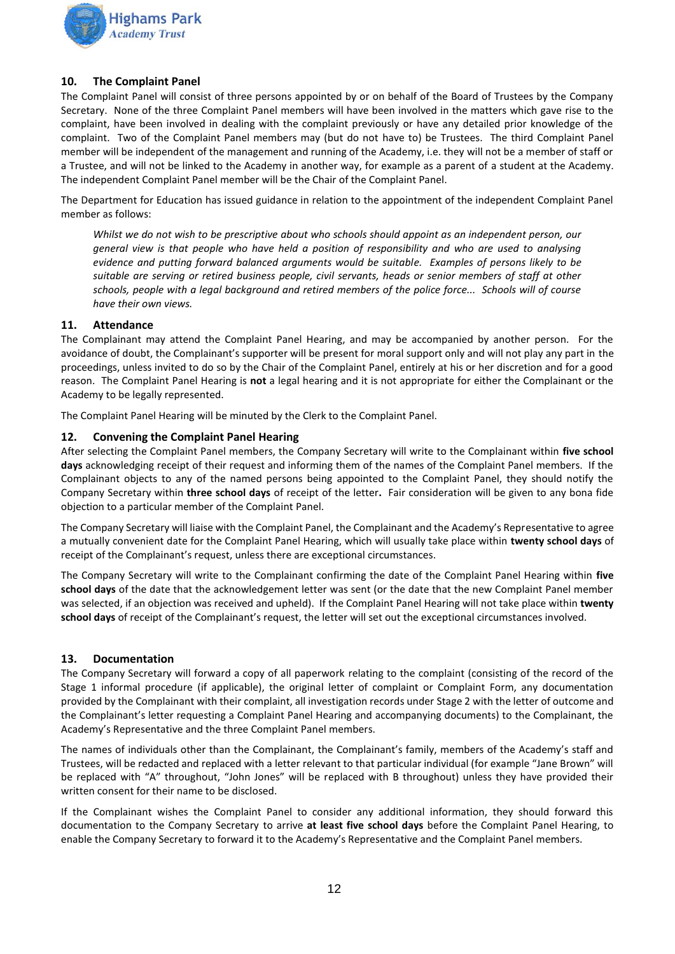

#### **10. The Complaint Panel**

The Complaint Panel will consist of three persons appointed by or on behalf of the Board of Trustees by the Company Secretary. None of the three Complaint Panel members will have been involved in the matters which gave rise to the complaint, have been involved in dealing with the complaint previously or have any detailed prior knowledge of the complaint. Two of the Complaint Panel members may (but do not have to) be Trustees. The third Complaint Panel member will be independent of the management and running of the Academy, i.e. they will not be a member of staff or a Trustee, and will not be linked to the Academy in another way, for example as a parent of a student at the Academy. The independent Complaint Panel member will be the Chair of the Complaint Panel.

The Department for Education has issued guidance in relation to the appointment of the independent Complaint Panel member as follows:

*Whilst we do not wish to be prescriptive about who schools should appoint as an independent person, our general view is that people who have held a position of responsibility and who are used to analysing evidence and putting forward balanced arguments would be suitable. Examples of persons likely to be suitable are serving or retired business people, civil servants, heads or senior members of staff at other schools, people with a legal background and retired members of the police force... Schools will of course have their own views.*

#### **11. Attendance**

The Complainant may attend the Complaint Panel Hearing, and may be accompanied by another person. For the avoidance of doubt, the Complainant's supporter will be present for moral support only and will not play any part in the proceedings, unless invited to do so by the Chair of the Complaint Panel, entirely at his or her discretion and for a good reason. The Complaint Panel Hearing is **not** a legal hearing and it is not appropriate for either the Complainant or the Academy to be legally represented.

The Complaint Panel Hearing will be minuted by the Clerk to the Complaint Panel.

#### **12. Convening the Complaint Panel Hearing**

After selecting the Complaint Panel members, the Company Secretary will write to the Complainant within **five school days** acknowledging receipt of their request and informing them of the names of the Complaint Panel members. If the Complainant objects to any of the named persons being appointed to the Complaint Panel, they should notify the Company Secretary within **three school days** of receipt of the letter**.** Fair consideration will be given to any bona fide objection to a particular member of the Complaint Panel.

The Company Secretary will liaise with the Complaint Panel, the Complainant and the Academy's Representative to agree a mutually convenient date for the Complaint Panel Hearing, which will usually take place within **twenty school days** of receipt of the Complainant's request, unless there are exceptional circumstances.

The Company Secretary will write to the Complainant confirming the date of the Complaint Panel Hearing within **five school days** of the date that the acknowledgement letter was sent (or the date that the new Complaint Panel member was selected, if an objection was received and upheld). If the Complaint Panel Hearing will not take place within **twenty school days** of receipt of the Complainant's request, the letter will set out the exceptional circumstances involved.

#### **13. Documentation**

The Company Secretary will forward a copy of all paperwork relating to the complaint (consisting of the record of the Stage 1 informal procedure (if applicable), the original letter of complaint or Complaint Form, any documentation provided by the Complainant with their complaint, all investigation records under Stage 2 with the letter of outcome and the Complainant's letter requesting a Complaint Panel Hearing and accompanying documents) to the Complainant, the Academy's Representative and the three Complaint Panel members.

The names of individuals other than the Complainant, the Complainant's family, members of the Academy's staff and Trustees, will be redacted and replaced with a letter relevant to that particular individual (for example "Jane Brown" will be replaced with "A" throughout, "John Jones" will be replaced with B throughout) unless they have provided their written consent for their name to be disclosed.

If the Complainant wishes the Complaint Panel to consider any additional information, they should forward this documentation to the Company Secretary to arrive **at least five school days** before the Complaint Panel Hearing, to enable the Company Secretary to forward it to the Academy's Representative and the Complaint Panel members.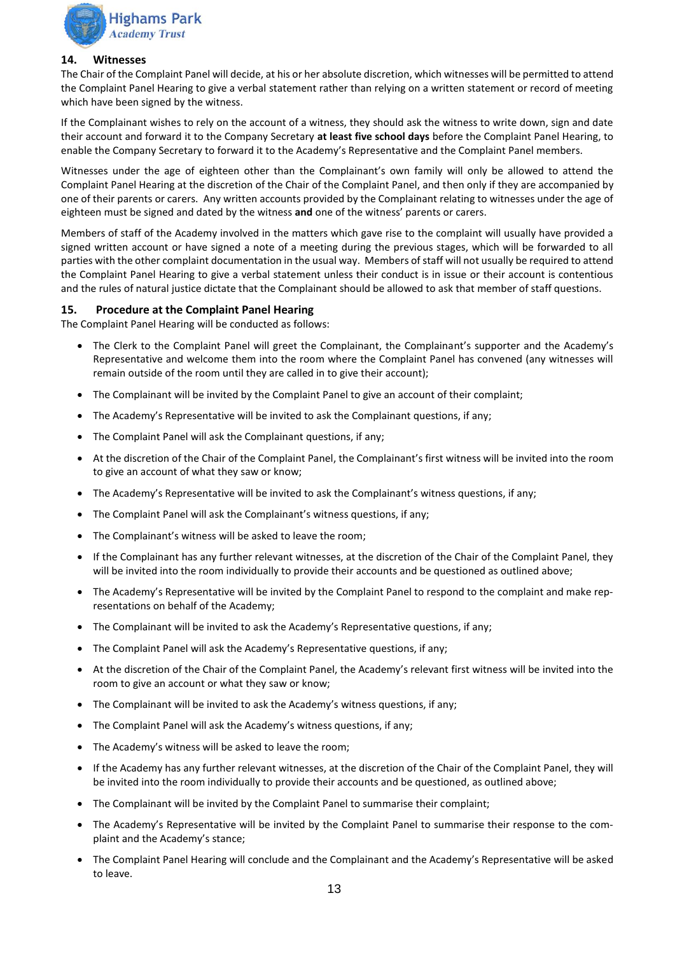

#### **14. Witnesses**

The Chair of the Complaint Panel will decide, at his or her absolute discretion, which witnesses will be permitted to attend the Complaint Panel Hearing to give a verbal statement rather than relying on a written statement or record of meeting which have been signed by the witness.

If the Complainant wishes to rely on the account of a witness, they should ask the witness to write down, sign and date their account and forward it to the Company Secretary **at least five school days** before the Complaint Panel Hearing, to enable the Company Secretary to forward it to the Academy's Representative and the Complaint Panel members.

Witnesses under the age of eighteen other than the Complainant's own family will only be allowed to attend the Complaint Panel Hearing at the discretion of the Chair of the Complaint Panel, and then only if they are accompanied by one of their parents or carers. Any written accounts provided by the Complainant relating to witnesses under the age of eighteen must be signed and dated by the witness **and** one of the witness' parents or carers.

Members of staff of the Academy involved in the matters which gave rise to the complaint will usually have provided a signed written account or have signed a note of a meeting during the previous stages, which will be forwarded to all parties with the other complaint documentation in the usual way. Members of staff will not usually be required to attend the Complaint Panel Hearing to give a verbal statement unless their conduct is in issue or their account is contentious and the rules of natural justice dictate that the Complainant should be allowed to ask that member of staff questions.

#### **15. Procedure at the Complaint Panel Hearing**

The Complaint Panel Hearing will be conducted as follows:

- The Clerk to the Complaint Panel will greet the Complainant, the Complainant's supporter and the Academy's Representative and welcome them into the room where the Complaint Panel has convened (any witnesses will remain outside of the room until they are called in to give their account);
- The Complainant will be invited by the Complaint Panel to give an account of their complaint;
- The Academy's Representative will be invited to ask the Complainant questions, if any;
- The Complaint Panel will ask the Complainant questions, if any;
- At the discretion of the Chair of the Complaint Panel, the Complainant's first witness will be invited into the room to give an account of what they saw or know;
- The Academy's Representative will be invited to ask the Complainant's witness questions, if any;
- The Complaint Panel will ask the Complainant's witness questions, if any;
- The Complainant's witness will be asked to leave the room;
- If the Complainant has any further relevant witnesses, at the discretion of the Chair of the Complaint Panel, they will be invited into the room individually to provide their accounts and be questioned as outlined above;
- The Academy's Representative will be invited by the Complaint Panel to respond to the complaint and make representations on behalf of the Academy;
- The Complainant will be invited to ask the Academy's Representative questions, if any:
- The Complaint Panel will ask the Academy's Representative questions, if any;
- At the discretion of the Chair of the Complaint Panel, the Academy's relevant first witness will be invited into the room to give an account or what they saw or know;
- The Complainant will be invited to ask the Academy's witness questions, if any;
- The Complaint Panel will ask the Academy's witness questions, if any;
- The Academy's witness will be asked to leave the room;
- If the Academy has any further relevant witnesses, at the discretion of the Chair of the Complaint Panel, they will be invited into the room individually to provide their accounts and be questioned, as outlined above;
- The Complainant will be invited by the Complaint Panel to summarise their complaint;
- The Academy's Representative will be invited by the Complaint Panel to summarise their response to the complaint and the Academy's stance;
- The Complaint Panel Hearing will conclude and the Complainant and the Academy's Representative will be asked to leave.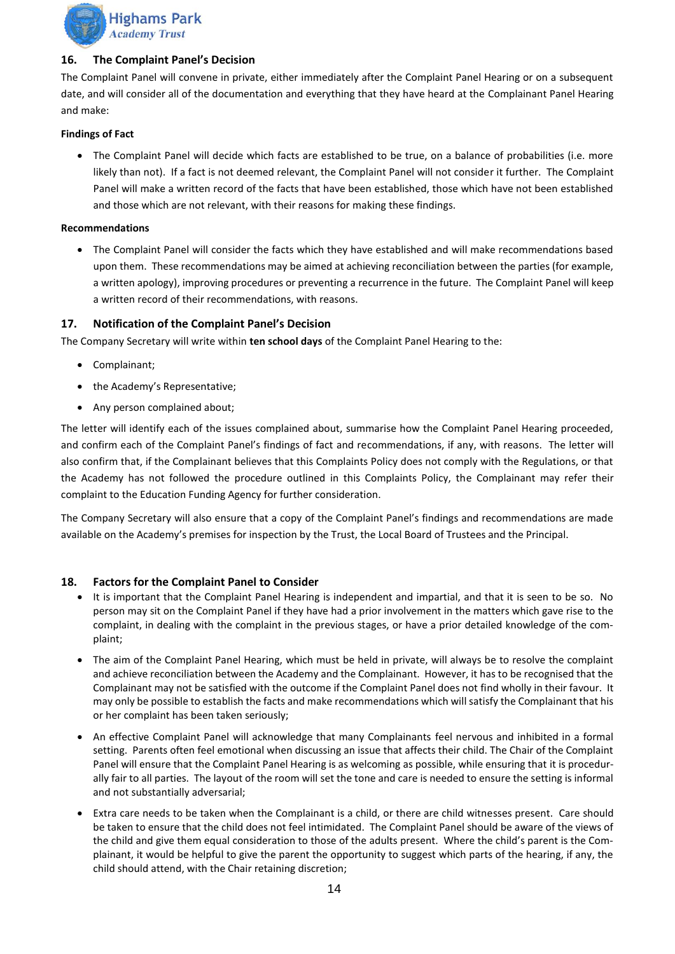

#### **16. The Complaint Panel's Decision**

The Complaint Panel will convene in private, either immediately after the Complaint Panel Hearing or on a subsequent date, and will consider all of the documentation and everything that they have heard at the Complainant Panel Hearing and make:

#### **Findings of Fact**

• The Complaint Panel will decide which facts are established to be true, on a balance of probabilities (i.e. more likely than not). If a fact is not deemed relevant, the Complaint Panel will not consider it further. The Complaint Panel will make a written record of the facts that have been established, those which have not been established and those which are not relevant, with their reasons for making these findings.

#### **Recommendations**

• The Complaint Panel will consider the facts which they have established and will make recommendations based upon them. These recommendations may be aimed at achieving reconciliation between the parties (for example, a written apology), improving procedures or preventing a recurrence in the future. The Complaint Panel will keep a written record of their recommendations, with reasons.

#### **17. Notification of the Complaint Panel's Decision**

The Company Secretary will write within **ten school days** of the Complaint Panel Hearing to the:

- Complainant;
- the Academy's Representative;
- Any person complained about;

The letter will identify each of the issues complained about, summarise how the Complaint Panel Hearing proceeded, and confirm each of the Complaint Panel's findings of fact and recommendations, if any, with reasons. The letter will also confirm that, if the Complainant believes that this Complaints Policy does not comply with the Regulations, or that the Academy has not followed the procedure outlined in this Complaints Policy, the Complainant may refer their complaint to the Education Funding Agency for further consideration.

The Company Secretary will also ensure that a copy of the Complaint Panel's findings and recommendations are made available on the Academy's premises for inspection by the Trust, the Local Board of Trustees and the Principal.

#### **18. Factors for the Complaint Panel to Consider**

- It is important that the Complaint Panel Hearing is independent and impartial, and that it is seen to be so. No person may sit on the Complaint Panel if they have had a prior involvement in the matters which gave rise to the complaint, in dealing with the complaint in the previous stages, or have a prior detailed knowledge of the complaint;
- The aim of the Complaint Panel Hearing, which must be held in private, will always be to resolve the complaint and achieve reconciliation between the Academy and the Complainant. However, it has to be recognised that the Complainant may not be satisfied with the outcome if the Complaint Panel does not find wholly in their favour. It may only be possible to establish the facts and make recommendations which will satisfy the Complainant that his or her complaint has been taken seriously;
- An effective Complaint Panel will acknowledge that many Complainants feel nervous and inhibited in a formal setting. Parents often feel emotional when discussing an issue that affects their child. The Chair of the Complaint Panel will ensure that the Complaint Panel Hearing is as welcoming as possible, while ensuring that it is procedurally fair to all parties. The layout of the room will set the tone and care is needed to ensure the setting is informal and not substantially adversarial;
- Extra care needs to be taken when the Complainant is a child, or there are child witnesses present. Care should be taken to ensure that the child does not feel intimidated. The Complaint Panel should be aware of the views of the child and give them equal consideration to those of the adults present. Where the child's parent is the Complainant, it would be helpful to give the parent the opportunity to suggest which parts of the hearing, if any, the child should attend, with the Chair retaining discretion;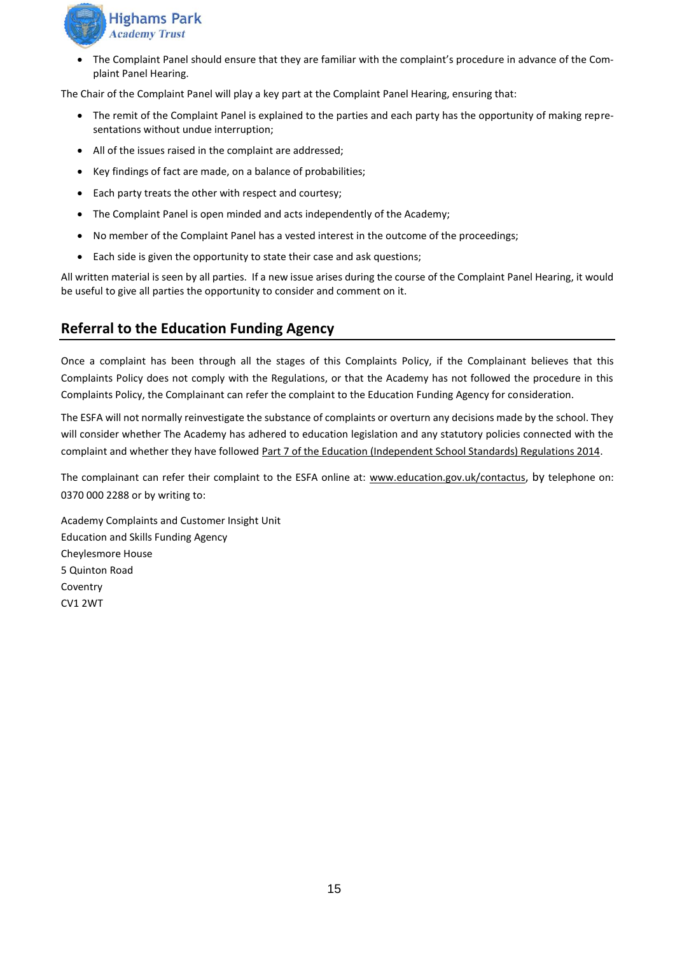

• The Complaint Panel should ensure that they are familiar with the complaint's procedure in advance of the Complaint Panel Hearing.

The Chair of the Complaint Panel will play a key part at the Complaint Panel Hearing, ensuring that:

- The remit of the Complaint Panel is explained to the parties and each party has the opportunity of making representations without undue interruption;
- All of the issues raised in the complaint are addressed;
- Key findings of fact are made, on a balance of probabilities;
- Each party treats the other with respect and courtesy;
- The Complaint Panel is open minded and acts independently of the Academy;
- No member of the Complaint Panel has a vested interest in the outcome of the proceedings;
- Each side is given the opportunity to state their case and ask questions;

All written material is seen by all parties. If a new issue arises during the course of the Complaint Panel Hearing, it would be useful to give all parties the opportunity to consider and comment on it.

# <span id="page-14-0"></span>**Referral to the Education Funding Agency**

Once a complaint has been through all the stages of this Complaints Policy, if the Complainant believes that this Complaints Policy does not comply with the Regulations, or that the Academy has not followed the procedure in this Complaints Policy, the Complainant can refer the complaint to the Education Funding Agency for consideration.

The ESFA will not normally reinvestigate the substance of complaints or overturn any decisions made by the school. They will consider whether The Academy has adhered to education legislation and any statutory policies connected with the complaint and whether they have followed [Part 7 of the Education \(Independent School Standards\) Regulations 2014.](http://www.legislation.gov.uk/uksi/2010/1997/schedule/1/made)

The complainant can refer their complaint to the ESFA online at: [www.education.gov.uk/contactus](http://www.education.gov.uk/contactus), by telephone on: 0370 000 2288 or by writing to:

Academy Complaints and Customer Insight Unit Education and Skills Funding Agency Cheylesmore House 5 Quinton Road Coventry CV1 2WT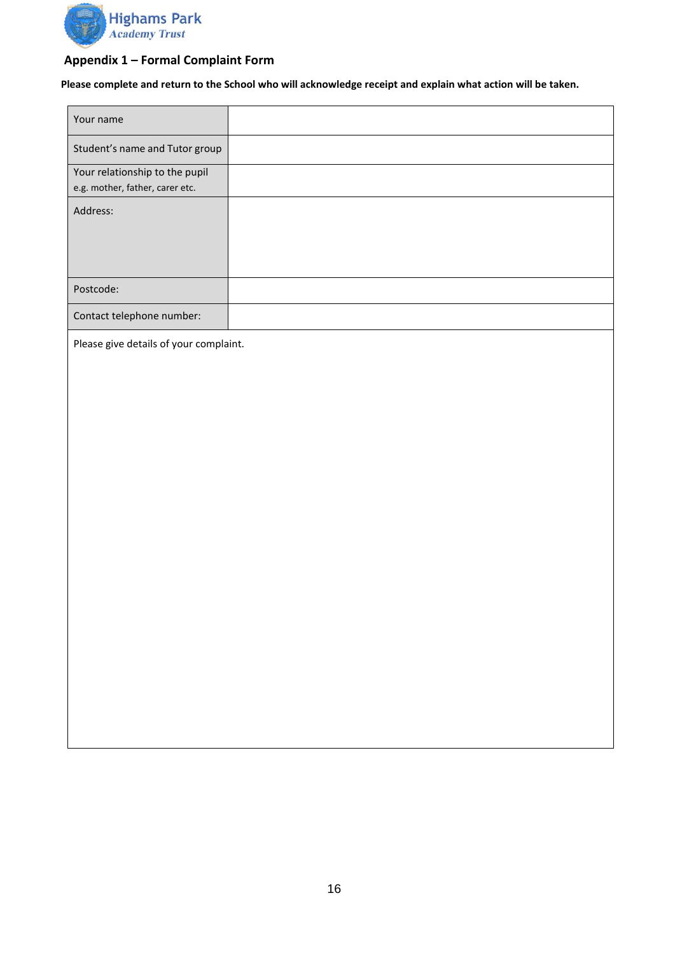

# <span id="page-15-0"></span>**Appendix 1 – Formal Complaint Form**

**Please complete and return to the School who will acknowledge receipt and explain what action will be taken.**

| Your name                                                         |  |
|-------------------------------------------------------------------|--|
| Student's name and Tutor group                                    |  |
| Your relationship to the pupil<br>e.g. mother, father, carer etc. |  |
| Address:                                                          |  |
|                                                                   |  |
|                                                                   |  |
| Postcode:                                                         |  |
| Contact telephone number:                                         |  |
| Please give details of your complaint.                            |  |
|                                                                   |  |
|                                                                   |  |
|                                                                   |  |
|                                                                   |  |
|                                                                   |  |
|                                                                   |  |
|                                                                   |  |
|                                                                   |  |
|                                                                   |  |
|                                                                   |  |
|                                                                   |  |
|                                                                   |  |
|                                                                   |  |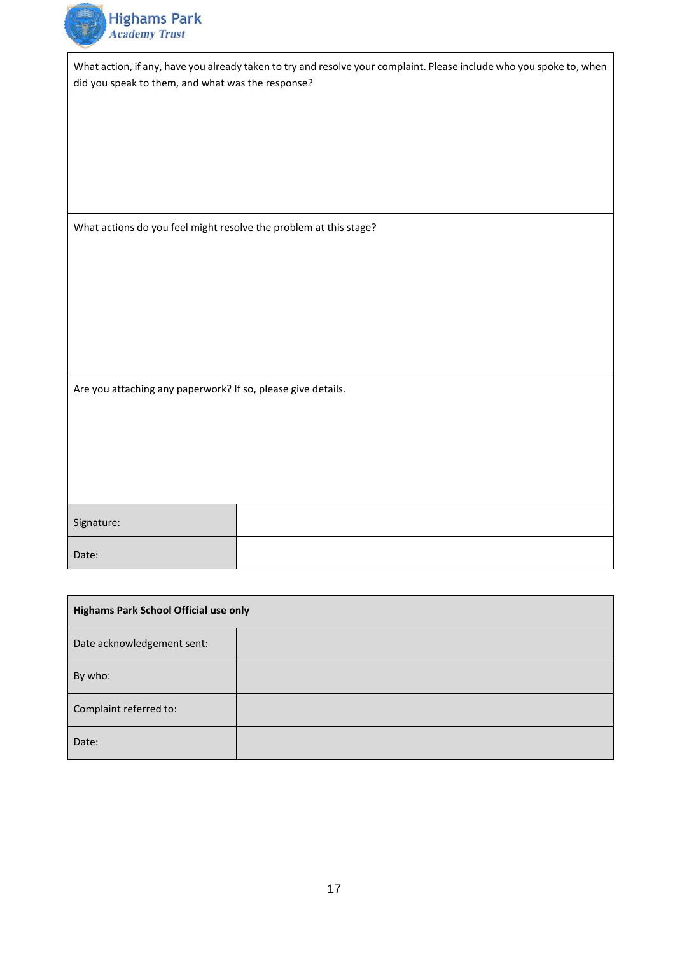

What action, if any, have you already taken to try and resolve your complaint. Please include who you spoke to, when did you speak to them, and what was the response?

What actions do you feel might resolve the problem at this stage?

Are you attaching any paperwork? If so, please give details.

| Signature: |  |
|------------|--|
| Date:      |  |

| Highams Park School Official use only |  |
|---------------------------------------|--|
| Date acknowledgement sent:            |  |
| By who:                               |  |
| Complaint referred to:                |  |
| Date:                                 |  |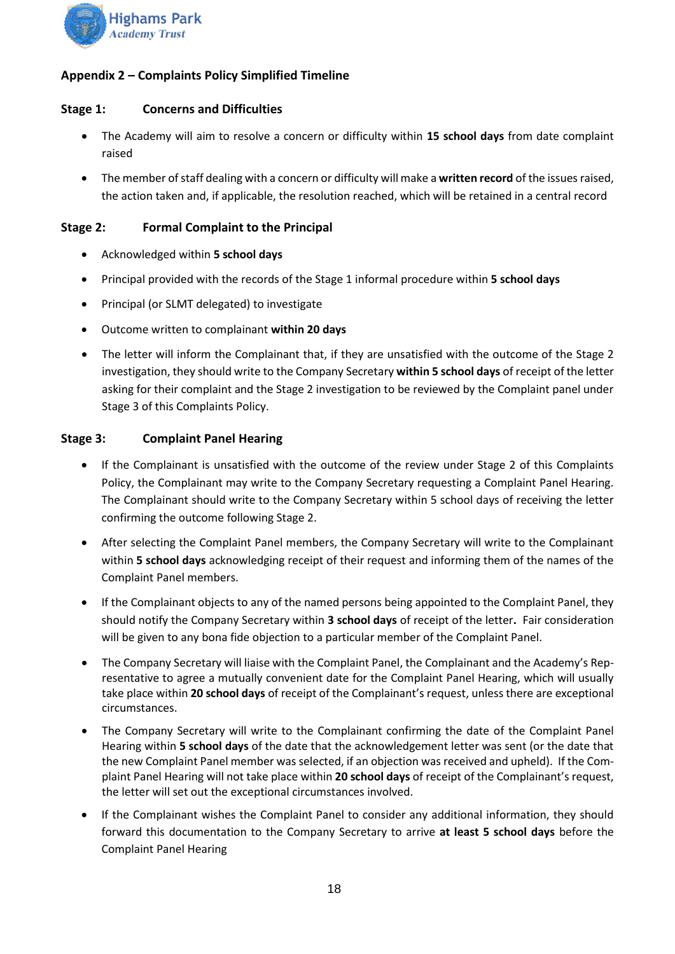

# <span id="page-17-0"></span>**Appendix 2 – Complaints Policy Simplified Timeline**

# **Stage 1: Concerns and Difficulties**

- The Academy will aim to resolve a concern or difficulty within **15 school days** from date complaint raised
- The member of staff dealing with a concern or difficulty will make a **written record** of the issues raised, the action taken and, if applicable, the resolution reached, which will be retained in a central record

# **Stage 2: Formal Complaint to the Principal**

- Acknowledged within **5 school days**
- Principal provided with the records of the Stage 1 informal procedure within **5 school days**
- Principal (or SLMT delegated) to investigate
- Outcome written to complainant **within 20 days**
- The letter will inform the Complainant that, if they are unsatisfied with the outcome of the Stage 2 investigation, they should write to the Company Secretary **within 5 school days** of receipt of the letter asking for their complaint and the Stage 2 investigation to be reviewed by the Complaint panel under Stage 3 of this Complaints Policy.

# **Stage 3: Complaint Panel Hearing**

- If the Complainant is unsatisfied with the outcome of the review under Stage 2 of this Complaints Policy, the Complainant may write to the Company Secretary requesting a Complaint Panel Hearing. The Complainant should write to the Company Secretary within 5 school days of receiving the letter confirming the outcome following Stage 2.
- After selecting the Complaint Panel members, the Company Secretary will write to the Complainant within **5 school days** acknowledging receipt of their request and informing them of the names of the Complaint Panel members.
- If the Complainant objects to any of the named persons being appointed to the Complaint Panel, they should notify the Company Secretary within **3 school days** of receipt of the letter**.** Fair consideration will be given to any bona fide objection to a particular member of the Complaint Panel.
- The Company Secretary will liaise with the Complaint Panel, the Complainant and the Academy's Representative to agree a mutually convenient date for the Complaint Panel Hearing, which will usually take place within **20 school days** of receipt of the Complainant's request, unless there are exceptional circumstances.
- The Company Secretary will write to the Complainant confirming the date of the Complaint Panel Hearing within **5 school days** of the date that the acknowledgement letter was sent (or the date that the new Complaint Panel member was selected, if an objection was received and upheld). If the Complaint Panel Hearing will not take place within **20 school days** of receipt of the Complainant's request, the letter will set out the exceptional circumstances involved.
- If the Complainant wishes the Complaint Panel to consider any additional information, they should forward this documentation to the Company Secretary to arrive **at least 5 school days** before the Complaint Panel Hearing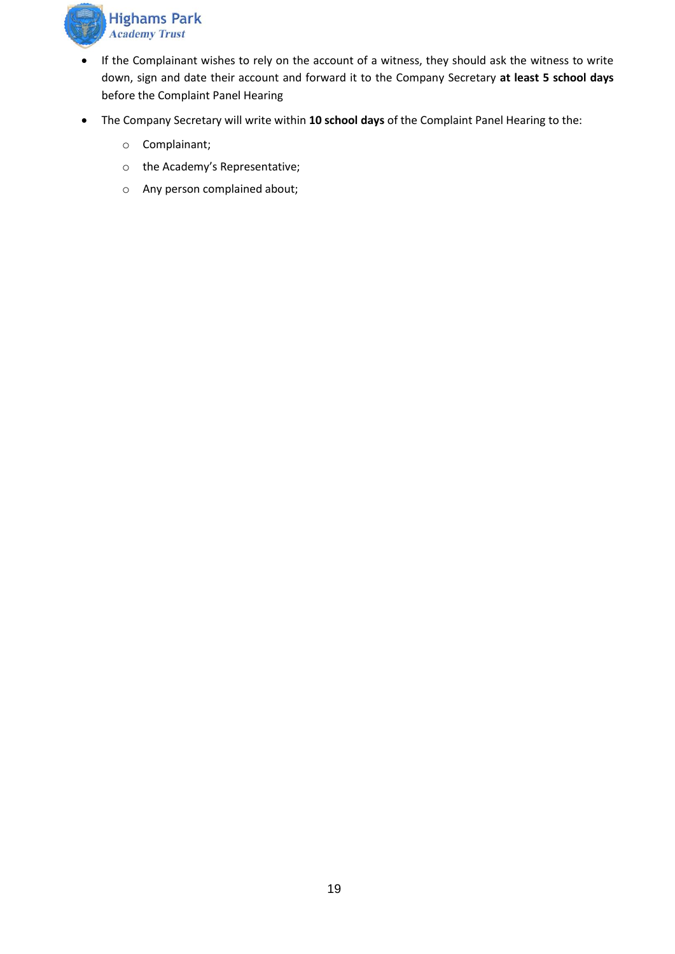

- If the Complainant wishes to rely on the account of a witness, they should ask the witness to write down, sign and date their account and forward it to the Company Secretary **at least 5 school days** before the Complaint Panel Hearing
- The Company Secretary will write within **10 school days** of the Complaint Panel Hearing to the:
	- o Complainant;
	- o the Academy's Representative;
	- o Any person complained about;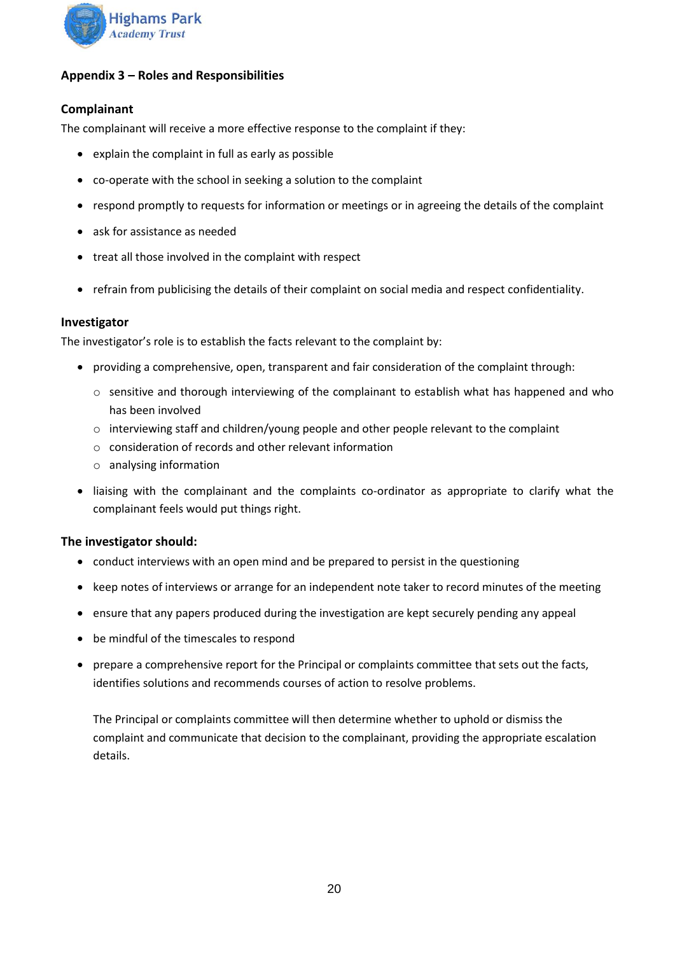

# <span id="page-19-0"></span>**Appendix 3 – Roles and Responsibilities**

# **Complainant**

The complainant will receive a more effective response to the complaint if they:

- explain the complaint in full as early as possible
- co-operate with the school in seeking a solution to the complaint
- respond promptly to requests for information or meetings or in agreeing the details of the complaint
- ask for assistance as needed
- treat all those involved in the complaint with respect
- refrain from publicising the details of their complaint on social media and respect confidentiality.

#### **Investigator**

The investigator's role is to establish the facts relevant to the complaint by:

- providing a comprehensive, open, transparent and fair consideration of the complaint through:
	- $\circ$  sensitive and thorough interviewing of the complainant to establish what has happened and who has been involved
	- $\circ$  interviewing staff and children/young people and other people relevant to the complaint
	- o consideration of records and other relevant information
	- o analysing information
- liaising with the complainant and the complaints co-ordinator as appropriate to clarify what the complainant feels would put things right.

#### **The investigator should:**

- conduct interviews with an open mind and be prepared to persist in the questioning
- keep notes of interviews or arrange for an independent note taker to record minutes of the meeting
- ensure that any papers produced during the investigation are kept securely pending any appeal
- be mindful of the timescales to respond
- prepare a comprehensive report for the Principal or complaints committee that sets out the facts, identifies solutions and recommends courses of action to resolve problems.

The Principal or complaints committee will then determine whether to uphold or dismiss the complaint and communicate that decision to the complainant, providing the appropriate escalation details.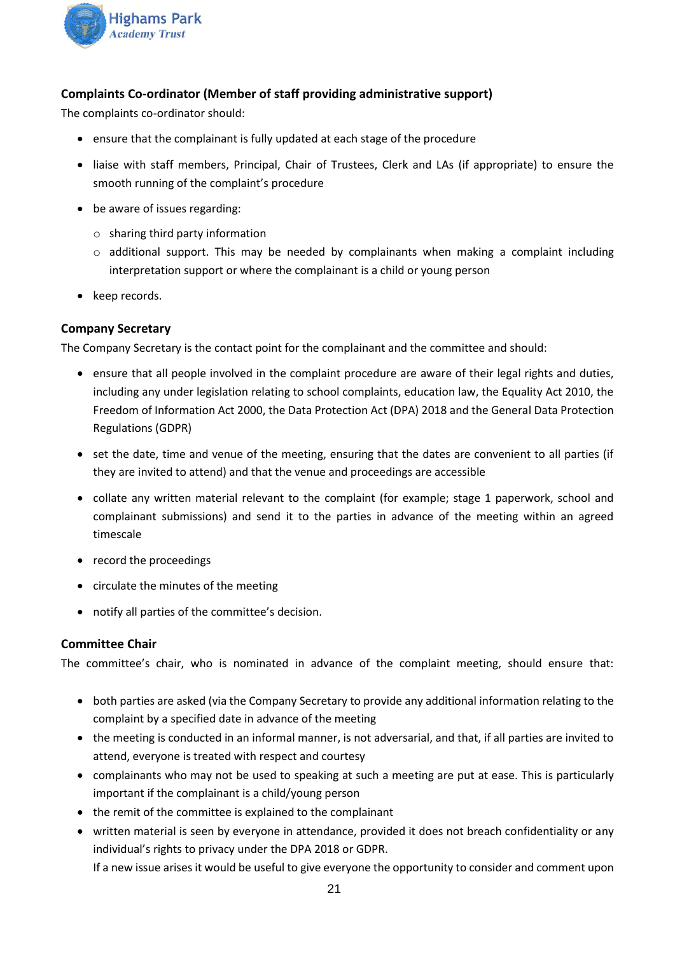

# **Complaints Co-ordinator (Member of staff providing administrative support)**

The complaints co-ordinator should:

- ensure that the complainant is fully updated at each stage of the procedure
- liaise with staff members, Principal, Chair of Trustees, Clerk and LAs (if appropriate) to ensure the smooth running of the complaint's procedure
- be aware of issues regarding:
	- o sharing third party information
	- $\circ$  additional support. This may be needed by complainants when making a complaint including interpretation support or where the complainant is a child or young person
- keep records.

#### **Company Secretary**

The Company Secretary is the contact point for the complainant and the committee and should:

- ensure that all people involved in the complaint procedure are aware of their legal rights and duties, including any under legislation relating to school complaints, education law, the Equality Act 2010, the Freedom of Information Act 2000, the Data Protection Act (DPA) 2018 and the General Data Protection Regulations (GDPR)
- set the date, time and venue of the meeting, ensuring that the dates are convenient to all parties (if they are invited to attend) and that the venue and proceedings are accessible
- collate any written material relevant to the complaint (for example; stage 1 paperwork, school and complainant submissions) and send it to the parties in advance of the meeting within an agreed timescale
- record the proceedings
- circulate the minutes of the meeting
- notify all parties of the committee's decision.

# **Committee Chair**

The committee's chair, who is nominated in advance of the complaint meeting, should ensure that:

- both parties are asked (via the Company Secretary to provide any additional information relating to the complaint by a specified date in advance of the meeting
- the meeting is conducted in an informal manner, is not adversarial, and that, if all parties are invited to attend, everyone is treated with respect and courtesy
- complainants who may not be used to speaking at such a meeting are put at ease. This is particularly important if the complainant is a child/young person
- the remit of the committee is explained to the complainant
- written material is seen by everyone in attendance, provided it does not breach confidentiality or any individual's rights to privacy under the DPA 2018 or GDPR.

If a new issue arises it would be useful to give everyone the opportunity to consider and comment upon